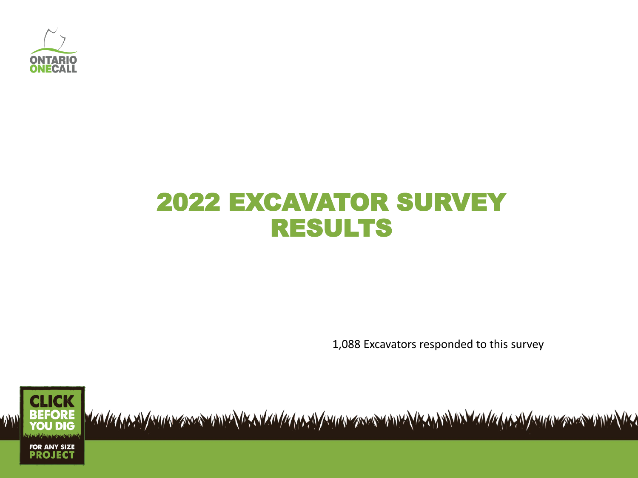

# 2022 EXCAVATOR SURVEY RESULTS

1,088 Excavators responded to this survey

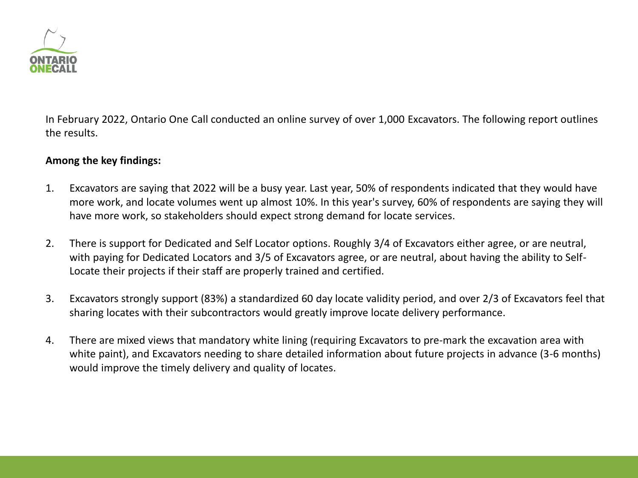

In February 2022, Ontario One Call conducted an online survey of over 1,000 Excavators. The following report outlines the results.

#### **Among the key findings:**

- 1. Excavators are saying that 2022 will be a busy year. Last year, 50% of respondents indicated that they would have more work, and locate volumes went up almost 10%. In this year's survey, 60% of respondents are saying they will have more work, so stakeholders should expect strong demand for locate services.
- 2. There is support for Dedicated and Self Locator options. Roughly 3/4 of Excavators either agree, or are neutral, with paying for Dedicated Locators and 3/5 of Excavators agree, or are neutral, about having the ability to Self-Locate their projects if their staff are properly trained and certified.
- 3. Excavators strongly support (83%) a standardized 60 day locate validity period, and over 2/3 of Excavators feel that sharing locates with their subcontractors would greatly improve locate delivery performance.
- 4. There are mixed views that mandatory white lining (requiring Excavators to pre-mark the excavation area with white paint), and Excavators needing to share detailed information about future projects in advance (3-6 months) would improve the timely delivery and quality of locates.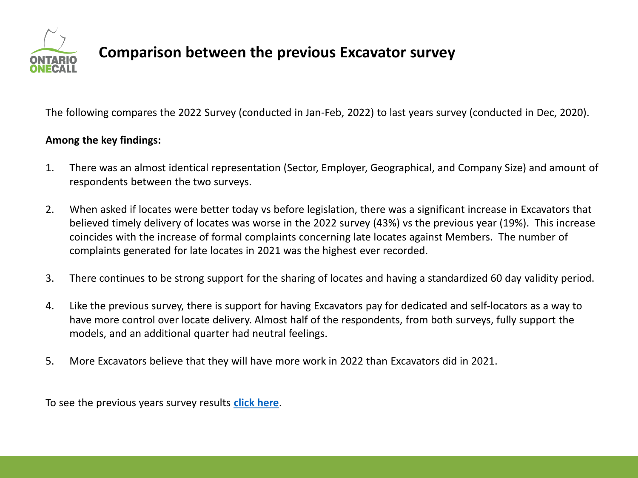

### **Comparison between the previous Excavator survey**

The following compares the 2022 Survey (conducted in Jan-Feb, 2022) to last years survey (conducted in Dec, 2020).

#### **Among the key findings:**

- 1. There was an almost identical representation (Sector, Employer, Geographical, and Company Size) and amount of respondents between the two surveys.
- 2. When asked if locates were better today vs before legislation, there was a significant increase in Excavators that believed timely delivery of locates was worse in the 2022 survey (43%) vs the previous year (19%). This increase coincides with the increase of formal complaints concerning late locates against Members. The number of complaints generated for late locates in 2021 was the highest ever recorded.
- 3. There continues to be strong support for the sharing of locates and having a standardized 60 day validity period.
- 4. Like the previous survey, there is support for having Excavators pay for dedicated and self-locators as a way to have more control over locate delivery. Almost half of the respondents, from both surveys, fully support the models, and an additional quarter had neutral feelings.
- 5. More Excavators believe that they will have more work in 2022 than Excavators did in 2021.

To see the previous years survey results **[click here](https://www.ontarioonecall.ca/wp-content/uploads/2020_Excavator_Survey_Results_Dec_2020.pdf)**.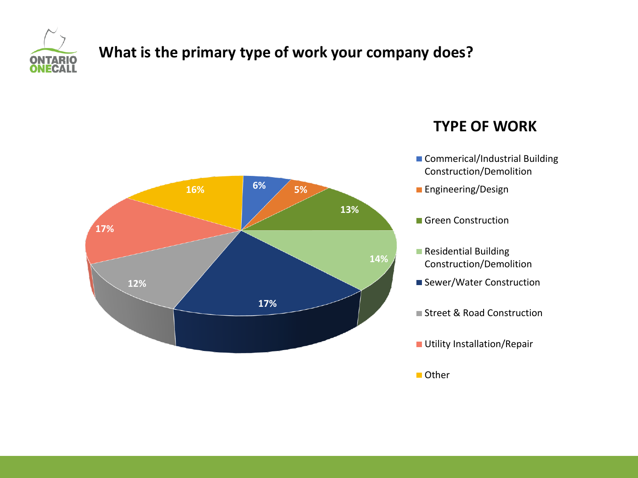

# **What is the primary type of work your company does?**



#### **TYPE OF WORK**

- Commerical/Industrial Building Construction/Demolition
- **Engineering/Design**
- Green Construction
- **Residential Building** Construction/Demolition
- Sewer/Water Construction
- Street & Road Construction
- **Utility Installation/Repair**

■ Other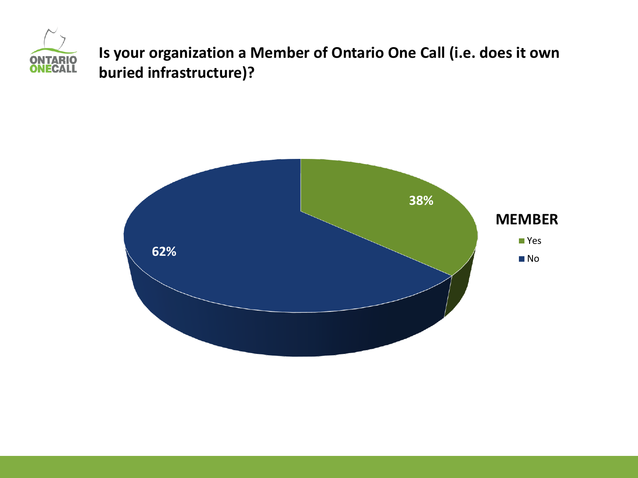

**Is your organization a Member of Ontario One Call (i.e. does it own buried infrastructure)?**

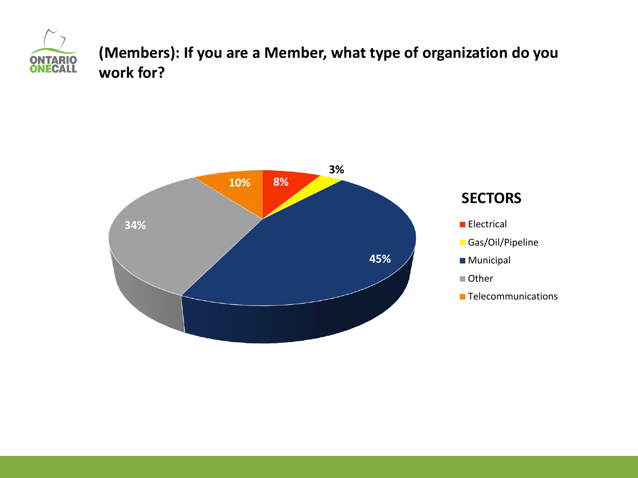

**(Members): If you are a Member, what type of organization do you work for?**

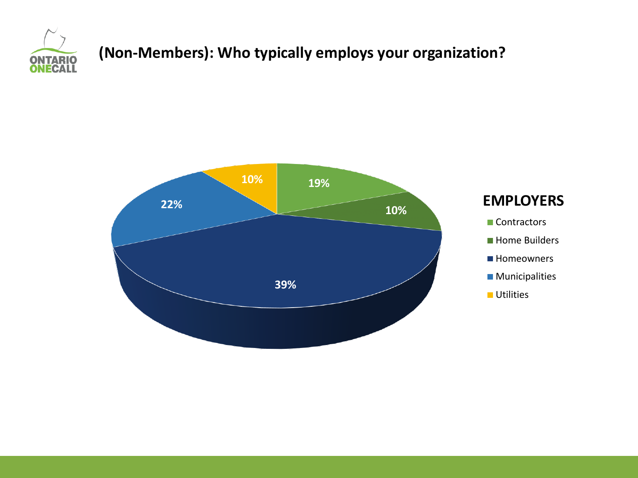

# **(Non-Members): Who typically employs your organization?**

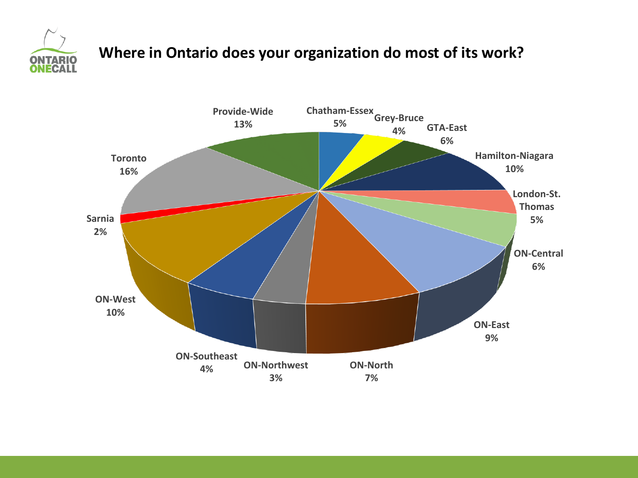

# **Where in Ontario does your organization do most of its work?**

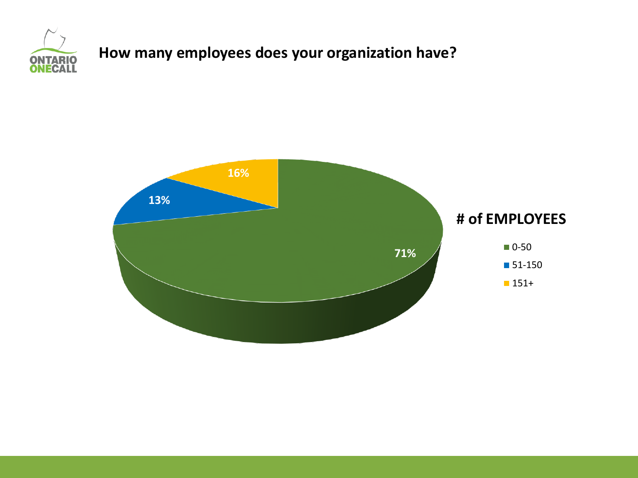

# **How many employees does your organization have?**

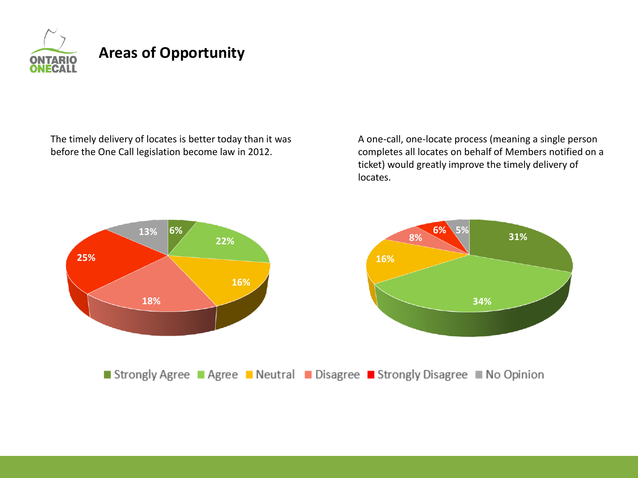

The timely delivery of locates is better today than it was before the One Call legislation become law in 2012.

A one-call, one-locate process (meaning a single person completes all locates on behalf of Members notified on a ticket) would greatly improve the timely delivery of locates.

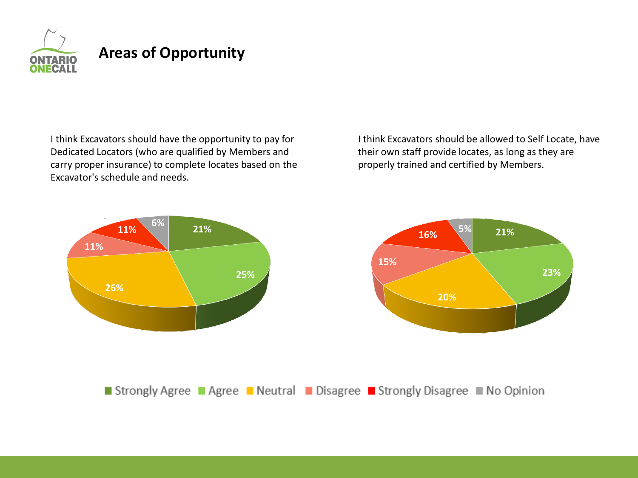

I think Excavators should have the opportunity to pay for Dedicated Locators (who are qualified by Members and carry proper insurance) to complete locates based on the Excavator's schedule and needs.

I think Excavators should be allowed to Self Locate, have their own staff provide locates, as long as they are properly trained and certified by Members.



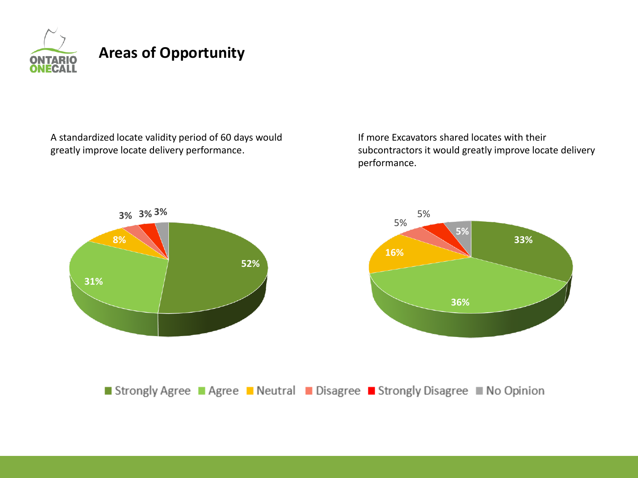

A standardized locate validity period of 60 days would greatly improve locate delivery performance.

If more Excavators shared locates with their subcontractors it would greatly improve locate delivery performance.

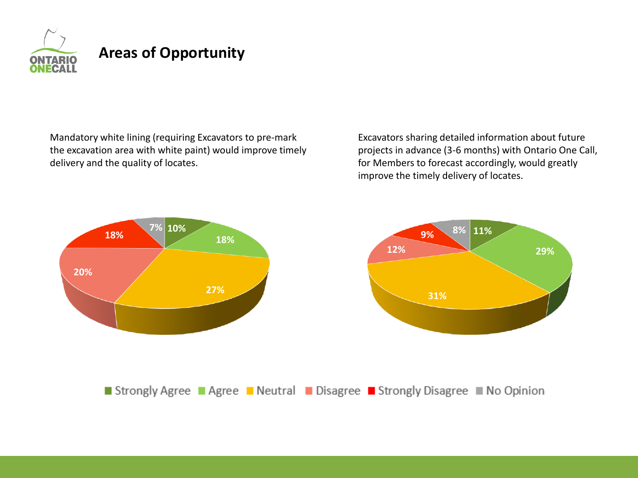

Mandatory white lining (requiring Excavators to pre-mark the excavation area with white paint) would improve timely delivery and the quality of locates.

Excavators sharing detailed information about future projects in advance (3-6 months) with Ontario One Call, for Members to forecast accordingly, would greatly improve the timely delivery of locates.

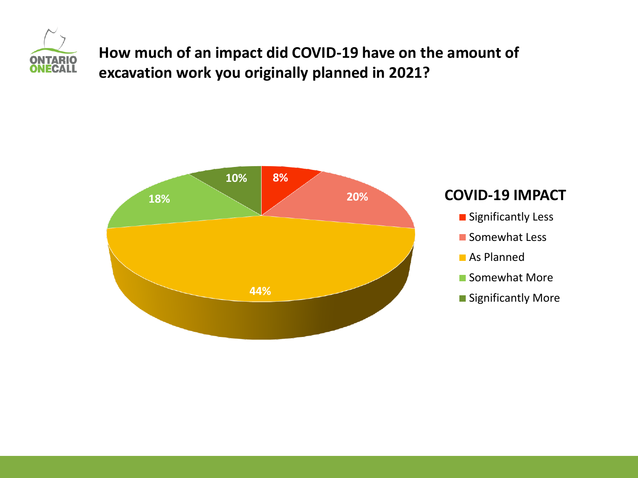

**How much of an impact did COVID-19 have on the amount of excavation work you originally planned in 2021?**





- **Significantly Less**
- Somewhat Less
- **As Planned**
- Somewhat More
- **Significantly More**